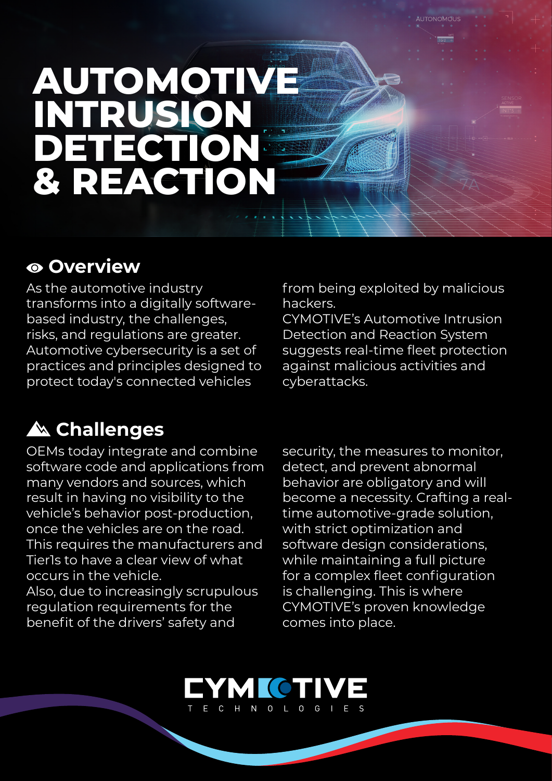# **AUTOMOTIVE INTRUSION DETECTION & REACTION**

#### **Overview**

As the automotive industry transforms into a digitally software-<br>based industry, the challenges, risks, and regulations are greater. Automotive cybersecurity is a set of practices and principles designed to protect today's connected vehicles

## **Challenges**

OEMs today integrate and combine software code and applications from many vendors and sources, which result in having no visibility to the vehicle's behavior post-production. once the vehicles are on the road. This requires the manufacturers and Tierls to have a clear view of what occurs in the vehicle

Also, due to increasingly scrupulous requlation requirements for the benefit of the drivers' safety and

from being exploited by malicious .hackers

CYMOTIVE's Automotive Intrusion Detection and Reaction System suggests real-time fleet protection against malicious activities and .cyberattacks

security, the measures to monitor. detect, and prevent abnormal behavior are obligatory and will become a necessity. Crafting a real-<br>time automotive-grade solution, with strict optimization and software design considerations, while maintaining a full picture for a complex fleet configuration is challenging. This is where CYMOTIVE's proven knowledge comes into place.